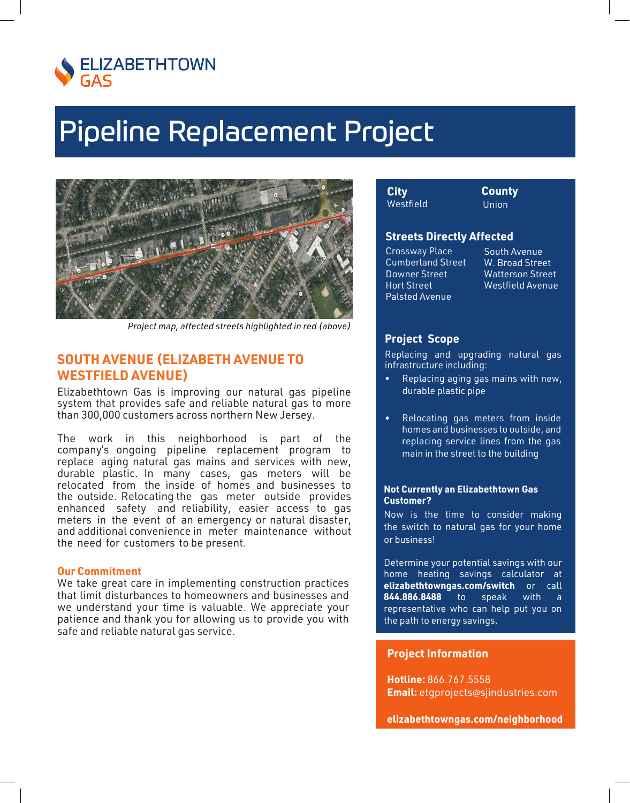

## **Pipeline Replacement Project**



Project map, affected streets highlighted in red (above)

## **SOUTH AVENUE (ELIZABETH AVENUE TO WESTFIELD AVENUE)**

Elizabethtown Gas is improving our natural gas pipeline system that provides safe and reliable natural gas to more than 300,000 customers across northern New Jersey.

The work in this neighborhood is part of the company's ongoing pipeline replacement program to replace aging natural gas mains and services with new, durable plastic. In many cases, gas meters will be relocated from the inside of homes and businesses to the outside. Relocating the gas meter outside provides enhanced safety and reliability, easier access to gas meters in the event of an emergency or natural disaster, and additional convenience in meter maintenance without the need for customers to be present.

### **Our Commitment**

We take great care in implementing construction practices that limit disturbances to homeowners and businesses and we understand your time is valuable. We appreciate your patience and thank you for allowing us to provide you with safe and reliable natural gas service.

| City      |
|-----------|
| Westfield |

**County Union** 

### **Streets Directly Affected**

Crossway Place **Cumberland Street Downer Street Hort Street Palsted Avenue** 

South Avenue W. Broad Street **Watterson Street Westfield Avenue** 

### **Project Scope**

Replacing and upgrading natural gas infrastructure including:

- Replacing aging gas mains with new, durable plastic pipe
- Relocating gas meters from inside homes and businesses to outside, and replacing service lines from the gas main in the street to the building

### **Not Currently an Elizabethtown Gas Customer?**

Now is the time to consider making the switch to natural gas for your home or business!

Determine your potential savings with our home heating savings calculator at elizabethtowngas.com/switch or call 844.886.8488 to speak with a representative who can help put you on the path to energy savings.

### **Project Information**

Hotline: 866.767.5558 **Email:** etgprojects@sjindustries.com

elizabethtowngas.com/neighborhood